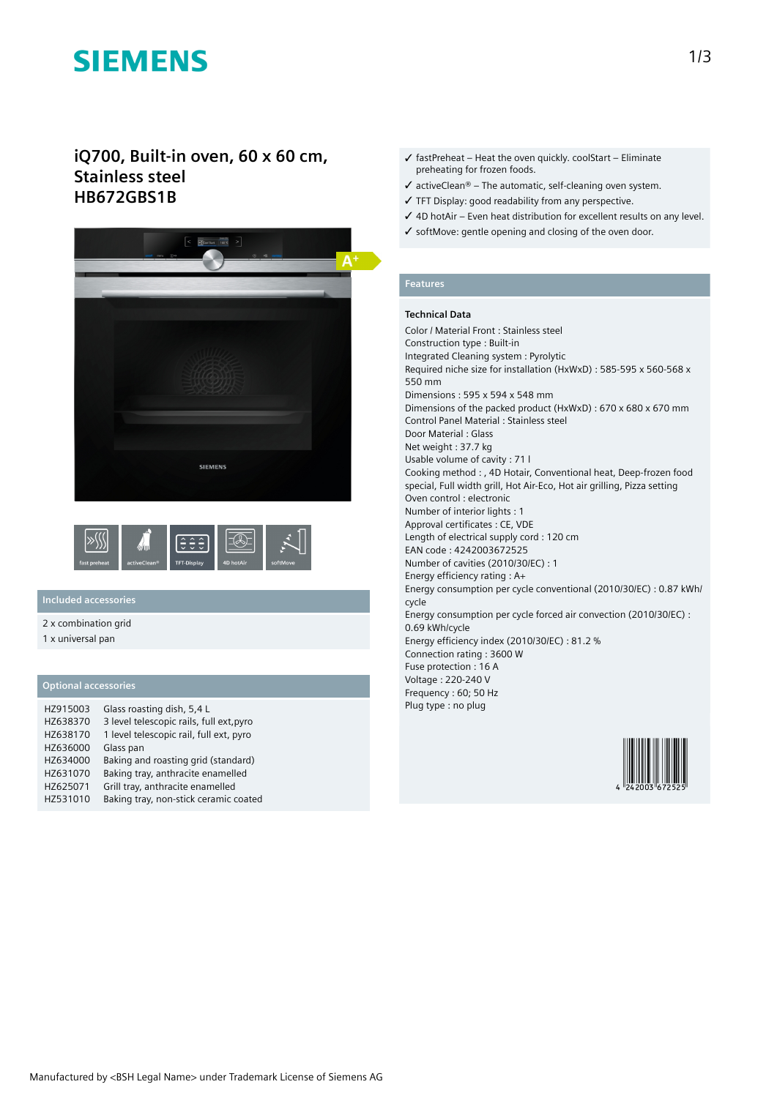# **SIEMENS**

# **iQ700, Built-in oven, 60 x 60 cm, Stainless steel HB672GBS1B**





## **Included accessories**

2 x combination grid

1 x universal pan

### **Optional accessories**

| HZ915003 | Glass roasting dish, 5,4 L               |
|----------|------------------------------------------|
| HZ638370 | 3 level telescopic rails, full ext, pyro |
| HZ638170 | 1 level telescopic rail, full ext, pyro  |
| HZ636000 | Glass pan                                |
| HZ634000 | Baking and roasting grid (standard)      |
| HZ631070 | Baking tray, anthracite enamelled        |
| HZ625071 | Grill tray, anthracite enamelled         |
| HZ531010 | Baking tray, non-stick ceramic coated    |

- $\checkmark$  fastPreheat Heat the oven quickly. coolStart Eliminate preheating for frozen foods.
- $\checkmark$  activeClean® The automatic, self-cleaning oven system.
- ✓ TFT Display: good readability from any perspective.
- ✓ 4D hotAir Even heat distribution for excellent results on any level.
- ✓ softMove: gentle opening and closing of the oven door.

# **Features**

### **Technical Data**

Color / Material Front : Stainless steel Construction type : Built-in Integrated Cleaning system : Pyrolytic Required niche size for installation (HxWxD) : 585-595 x 560-568 x 550 mm Dimensions : 595 x 594 x 548 mm Dimensions of the packed product (HxWxD) : 670 x 680 x 670 mm Control Panel Material : Stainless steel Door Material : Glass Net weight : 37.7 kg Usable volume of cavity : 71 l Cooking method : , 4D Hotair, Conventional heat, Deep-frozen food special, Full width grill, Hot Air-Eco, Hot air grilling, Pizza setting Oven control : electronic Number of interior lights : 1 Approval certificates : CE, VDE Length of electrical supply cord : 120 cm EAN code : 4242003672525 Number of cavities (2010/30/EC) : 1 Energy efficiency rating : A+ Energy consumption per cycle conventional (2010/30/EC) : 0.87 kWh/ cycle Energy consumption per cycle forced air convection (2010/30/EC) : 0.69 kWh/cycle Energy efficiency index (2010/30/EC) : 81.2 % Connection rating : 3600 W Fuse protection : 16 A Voltage : 220-240 V Frequency : 60; 50 Hz Plug type : no plug

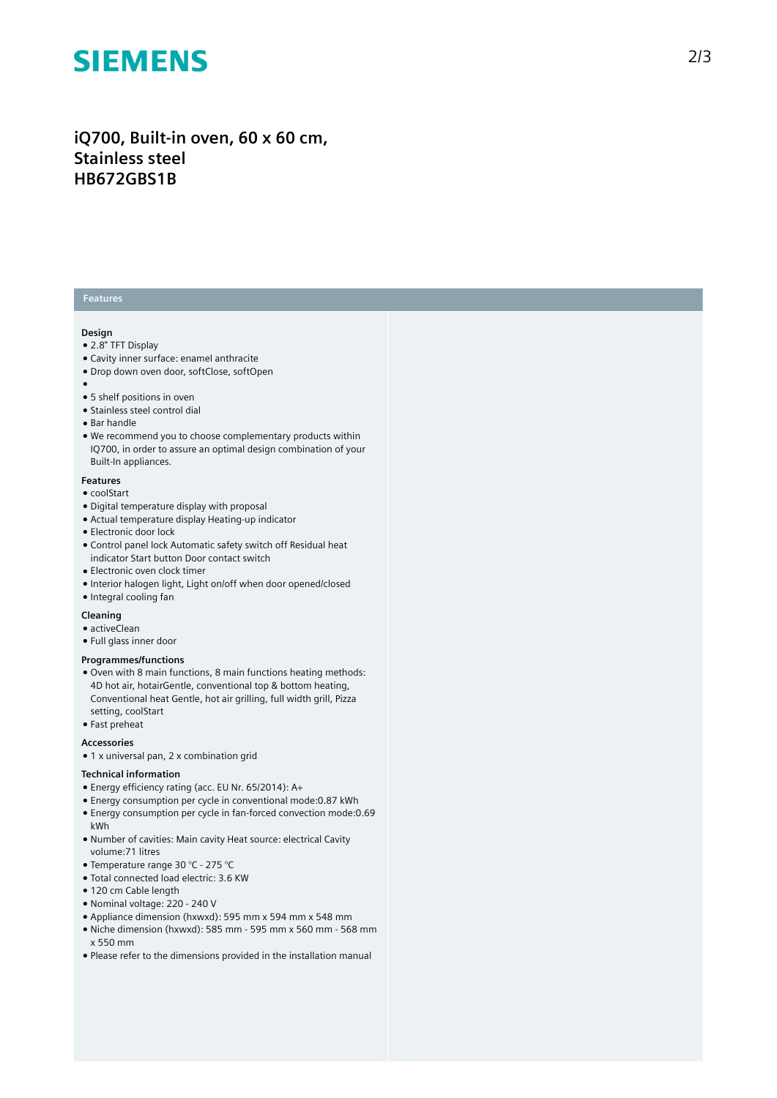# **SIEMENS**

# iQ700, Built-in oven, 60 x 60 cm, **S t a i n l e s s s t e e l HB672GBS1B**

## **Features**

#### **Design**

- 2.8" TFT Display
- Cavity inner surface: enamel anthracite
- Drop down oven door, softClose, softOpen
- 
- ●<br>● 5 shelf positions in oven
- Stainless steel control dial
- Bar handle
- We recommend you to choose complementary products within IQ700, in order to assure an optimal design combination of your Built-In appliances.

#### **F e a t u r e s**

- coolStart
- Digital temperature display with proposal
- Actual temperature display Heating-up indicator
- Electronic door lock
- Control panel lock Automatic safety switch off Residual heat indicator Start button Door contact switch
- $\bullet$  Electronic oven clock timer
- Interior halogen light, Light on/off when door opened/closed
- Integral cooling fan

### **Cleaning**

- $\bullet$  activeClean
- Full glass inner door

#### **Programmes/functions**

- Oven with 8 main functions, 8 main functions heating methods: 4D hot air, hotairGentle, conventional top & bottom heating, Conventional heat Gentle, hot air grilling, full width grill, Pizza setting, coolStart
- Fast preheat

#### **A c c e s s o r i e s**

 $\bullet$  1 x universal pan, 2 x combination grid

#### Technical information

- Energy efficiency rating (acc. EU Nr. 65/2014): A+
- Energy consumption per cycle in conventional mode:0.87 kWh
- Energy consumption per cycle in fan-forced convection mode:0.69 kWh
- Number of cavities: Main cavity Heat source: electrical Cavity volume:71 litres
- Temperature range 30 °C 275 °C
- · Total connected load electric: 3.6 KW
- 120 cm Cable length
- Nominal voltage: 220 240 V
- Appliance dimension (hxwxd): 595 mm x 594 mm x 548 mm
- $\bullet$  Niche dimension (hxwxd): 585 mm 595 mm x 560 mm 568 mm x 550 mm
- Please refer to the dimensions provided in the installation manual